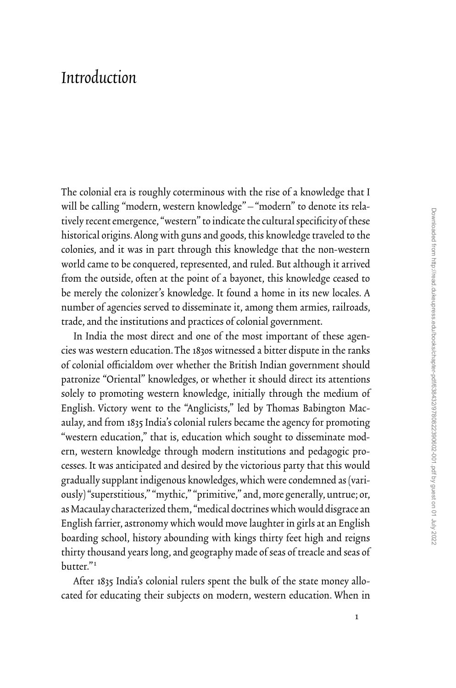The colonial era is roughly coterminous with the rise of a knowledge that I will be calling "modern, western knowledge" - "modern" to denote its relatively recent emergence, "western" to indicate the cultural specificity of these historical origins. Along with guns and goods, this knowledge traveled to the colonies, and it was in part through this knowledge that the non-western world came to be conquered, represented, and ruled. But although it arrived from the outside, often at the point of a bayonet, this knowledge ceased to be merely the colonizer's knowledge. It found a home in its new locales. A number of agencies served to disseminate it, among them armies, railroads, trade, and the institutions and practices of colonial government.

In India the most direct and one of the most important of these agencies was western education. The 1830s witnessed a bitter dispute in the ranks of colonial officialdom over whether the British Indian government should patronize "Oriental" knowledges, or whether it should direct its attentions solely to promoting western knowledge, initially through the medium of English. Victory went to the ''Anglicists,'' led by Thomas Babington Macaulay, and from 1835 India's colonial rulers became the agency for promoting "western education," that is, education which sought to disseminate modern, western knowledge through modern institutions and pedagogic processes. It was anticipated and desired by the victorious party that this would gradually supplant indigenous knowledges, which were condemned as (variously) "superstitious," "mythic," "primitive," and, more generally, untrue; or, as Macaulay characterized them, "medical doctrines which would disgrace an English farrier, astronomy which would move laughter in girls at an English boarding school, history abounding with kings thirty feet high and reigns thirty thousand years long, and geography made of seas of treacle and seas of butter.''<sup>1</sup>

After 1835 India's colonial rulers spent the bulk of the state money allocated for educating their subjects on modern, western education. When in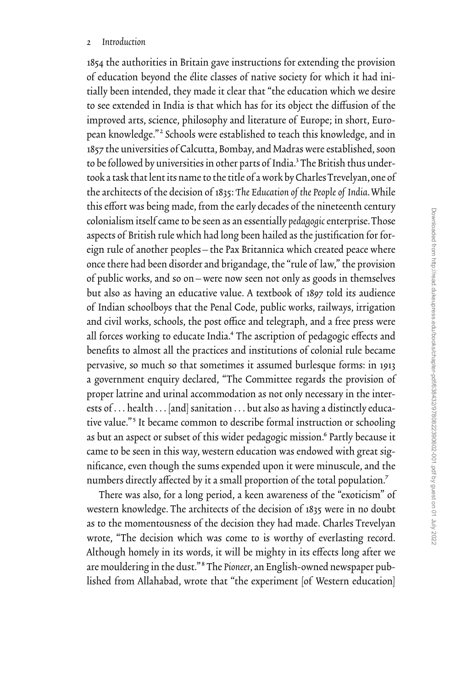1854 the authorities in Britain gave instructions for extending the provision of education beyond the élite classes of native society for which it had initially been intended, they made it clear that ''the education which we desire to see extended in India is that which has for its object the diffusion of the improved arts, science, philosophy and literature of Europe; in short, European knowledge.''<sup>2</sup> Schools were established to teach this knowledge, and in 1857 the universities of Calcutta, Bombay, and Madras were established, soon to be followed by universities in other parts of India.<sup>3</sup> The British thus undertook a task that lent its name to the title of a work by Charles Trevelyan, one of the architects of the decision of 1835: *The Education of the People of India*.While this effort was being made, from the early decades of the nineteenth century colonialism itself came to be seen as an essentially*pedagogic*enterprise.Those aspects of British rule which had long been hailed as the justification for foreign rule of another peoples—the Pax Britannica which created peace where once there had been disorder and brigandage, the ''rule of law,'' the provision of public works, and so on—were now seen not only as goods in themselves but also as having an educative value. A textbook of 1897 told its audience of Indian schoolboys that the Penal Code, public works, railways, irrigation and civil works, schools, the post office and telegraph, and a free press were all forces working to educate India.<sup>4</sup> The ascription of pedagogic effects and benefits to almost all the practices and institutions of colonial rule became pervasive, so much so that sometimes it assumed burlesque forms: in 1913 a government enquiry declared, ''The Committee regards the provision of proper latrine and urinal accommodation as not only necessary in the interests of . . . health . . . [and] sanitation . . . but also as having a distinctly educative value.''<sup>5</sup> It became common to describe formal instruction or schooling as but an aspect or subset of this wider pedagogic mission.<sup>6</sup> Partly because it came to be seen in this way, western education was endowed with great significance, even though the sums expended upon it were minuscule, and the numbers directly affected by it a small proportion of the total population.<sup>7</sup>

There was also, for a long period, a keen awareness of the "exoticism" of western knowledge. The architects of the decision of 1835 were in no doubt as to the momentousness of the decision they had made. Charles Trevelyan wrote, "The decision which was come to is worthy of everlasting record. Although homely in its words, it will be mighty in its effects long after we are mouldering in the dust."<sup>8</sup> The Pioneer, an English-owned newspaper published from Allahabad, wrote that ''the experiment [of Western education]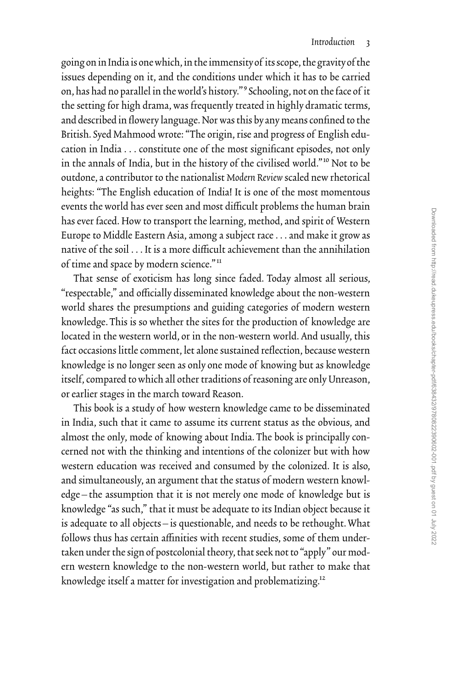going on in India is one which, in the immensity of its scope, the gravity of the issues depending on it, and the conditions under which it has to be carried on, has had no parallel in the world's history."<sup>9</sup> Schooling, not on the face of it the setting for high drama, was frequently treated in highly dramatic terms, and described in flowery language. Nor was this by any means confined to the British. Syed Mahmood wrote: ''The origin, rise and progress of English education in India . . . constitute one of the most significant episodes, not only in the annals of India, but in the history of the civilised world.''<sup>10</sup> Not to be outdone, a contributor to the nationalist *Modern Review* scaled new rhetorical heights: ''The English education of India! It is one of the most momentous events the world has ever seen and most difficult problems the human brain has ever faced. How to transport the learning, method, and spirit of Western Europe to Middle Eastern Asia, among a subject race . . . and make it grow as native of the soil . . . It is a more difficult achievement than the annihilation of time and space by modern science."<sup>11</sup>

That sense of exoticism has long since faded. Today almost all serious, ''respectable,'' and officially disseminated knowledge about the non-western world shares the presumptions and guiding categories of modern western knowledge. This is so whether the sites for the production of knowledge are located in the western world, or in the non-western world. And usually, this fact occasions little comment, let alone sustained reflection, because western knowledge is no longer seen as only one mode of knowing but as knowledge itself, compared to which all other traditions of reasoning are only Unreason, or earlier stages in the march toward Reason.

This book is a study of how western knowledge came to be disseminated in India, such that it came to assume its current status as the obvious, and almost the only, mode of knowing about India. The book is principally concerned not with the thinking and intentions of the colonizer but with how western education was received and consumed by the colonized. It is also, and simultaneously, an argument that the status of modern western knowledge—the assumption that it is not merely one mode of knowledge but is knowledge ''as such,'' that it must be adequate to its Indian object because it is adequate to all objects—is questionable, and needs to be rethought. What follows thus has certain affinities with recent studies, some of them undertaken under the sign of postcolonial theory, that seek not to "apply" our modern western knowledge to the non-western world, but rather to make that knowledge itself a matter for investigation and problematizing.<sup>12</sup>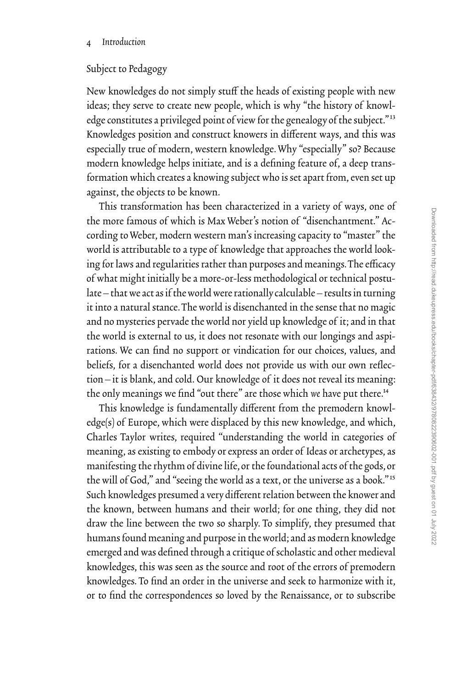### Subject to Pedagogy

New knowledges do not simply stuff the heads of existing people with new ideas; they serve to create new people, which is why ''the history of knowledge constitutes a privileged point of view for the genealogy of the subject."<sup>13</sup> Knowledges position and construct knowers in different ways, and this was especially true of modern, western knowledge. Why ''especially'' so? Because modern knowledge helps initiate, and is a defining feature of, a deep transformation which creates a knowing subject who is set apart from, even set up against, the objects to be known.

This transformation has been characterized in a variety of ways, one of the more famous of which is Max Weber's notion of ''disenchantment.'' According to Weber, modern western man's increasing capacity to ''master'' the world is attributable to a type of knowledge that approaches the world looking for laws and regularities rather than purposes and meanings.The efficacy of what might initially be a more-or-less methodological or technical postulate  $-$  that we act as if the world were rationally calculable  $-$  results in turning it into a natural stance.The world is disenchanted in the sense that no magic and no mysteries pervade the world nor yield up knowledge of it; and in that the world is external to us, it does not resonate with our longings and aspirations. We can find no support or vindication for our choices, values, and beliefs, for a disenchanted world does not provide us with our own reflection—it is blank, and cold. Our knowledge of it does not reveal its meaning: the only meanings we find "out there" are those which we have put there.<sup>14</sup>

This knowledge is fundamentally different from the premodern knowledge(s) of Europe, which were displaced by this new knowledge, and which, Charles Taylor writes, required ''understanding the world in categories of meaning, as existing to embody or express an order of Ideas or archetypes, as manifesting the rhythm of divine life, or the foundational acts of the gods, or the will of God,'' and ''seeing the world as a text, or the universe as a book.''<sup>15</sup> Such knowledges presumed a very different relation between the knower and the known, between humans and their world; for one thing, they did not draw the line between the two so sharply. To simplify, they presumed that humans found meaning and purpose in the world; and as modern knowledge emerged and was defined through a critique of scholastic and other medieval knowledges, this was seen as the source and root of the errors of premodern knowledges. To find an order in the universe and seek to harmonize with it, or to find the correspondences so loved by the Renaissance, or to subscribe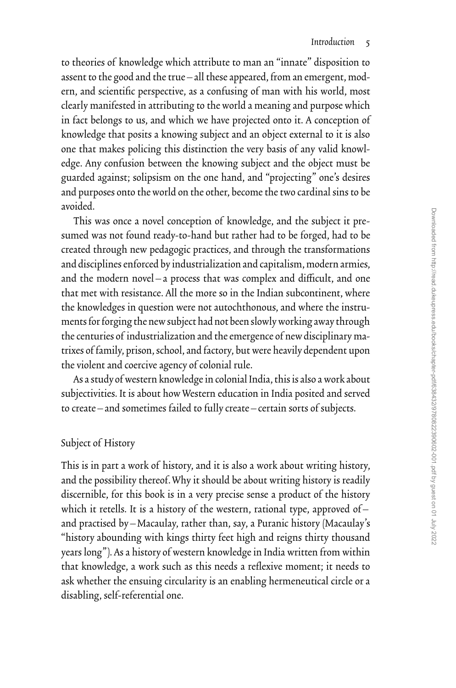to theories of knowledge which attribute to man an ''innate'' disposition to assent to the good and the true—all these appeared, from an emergent, modern, and scientific perspective, as a confusing of man with his world, most clearly manifested in attributing to the world a meaning and purpose which in fact belongs to us, and which we have projected onto it. A conception of knowledge that posits a knowing subject and an object external to it is also one that makes policing this distinction the very basis of any valid knowledge. Any confusion between the knowing subject and the object must be guarded against; solipsism on the one hand, and ''projecting'' one's desires and purposes onto the world on the other, become the two cardinal sins to be avoided.

This was once a novel conception of knowledge, and the subject it presumed was not found ready-to-hand but rather had to be forged, had to be created through new pedagogic practices, and through the transformations and disciplines enforced by industrialization and capitalism, modern armies, and the modern novel—a process that was complex and difficult, and one that met with resistance. All the more so in the Indian subcontinent, where the knowledges in question were not autochthonous, and where the instruments for forging the new subject had not been slowly working away through the centuries of industrialization and the emergence of new disciplinary matrixes of family, prison, school, and factory, but were heavily dependent upon the violent and coercive agency of colonial rule.

As a study of western knowledge in colonial India, this is also a work about subjectivities. It is about how Western education in India posited and served to create—and sometimes failed to fully create—certain sorts of subjects.

## Subject of History

This is in part a work of history, and it is also a work about writing history, and the possibility thereof. Why it should be about writing history is readily discernible, for this book is in a very precise sense a product of the history which it retells. It is a history of the western, rational type, approved of  $$ and practised by—Macaulay, rather than, say, a Puranic history (Macaulay's ''history abounding with kings thirty feet high and reigns thirty thousand years long''). As a history of western knowledge in India written from within that knowledge, a work such as this needs a reflexive moment; it needs to ask whether the ensuing circularity is an enabling hermeneutical circle or a disabling, self-referential one.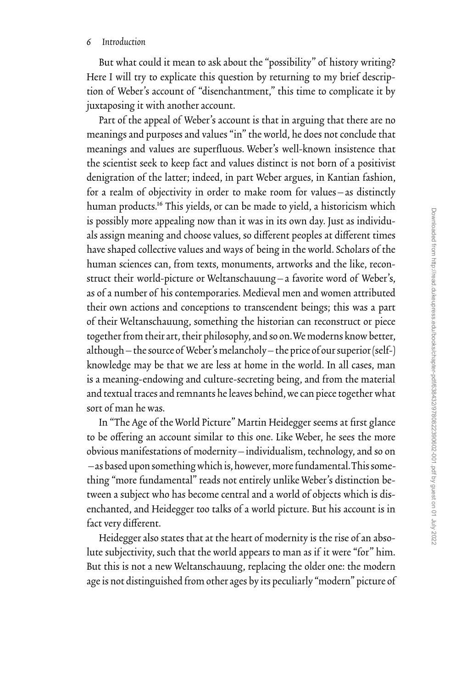But what could it mean to ask about the ''possibility'' of history writing? Here I will try to explicate this question by returning to my brief description of Weber's account of ''disenchantment,'' this time to complicate it by juxtaposing it with another account.

Part of the appeal of Weber's account is that in arguing that there are no meanings and purposes and values ''in'' the world, he does not conclude that meanings and values are superfluous. Weber's well-known insistence that the scientist seek to keep fact and values distinct is not born of a positivist denigration of the latter; indeed, in part Weber argues, in Kantian fashion, for a realm of objectivity in order to make room for values—as distinctly human products.<sup>16</sup> This yields, or can be made to yield, a historicism which is possibly more appealing now than it was in its own day. Just as individuals assign meaning and choose values, so different peoples at different times have shaped collective values and ways of being in the world. Scholars of the human sciences can, from texts, monuments, artworks and the like, reconstruct their world-picture or Weltanschauung—a favorite word of Weber's, as of a number of his contemporaries. Medieval men and women attributed their own actions and conceptions to transcendent beings; this was a part of their Weltanschauung, something the historian can reconstruct or piece together from their art, their philosophy, and so on. We moderns know better, although—the source of Weber's melancholy—the price of our superior (self-) knowledge may be that we are less at home in the world. In all cases, man is a meaning-endowing and culture-secreting being, and from the material and textual traces and remnants he leaves behind, we can piece together what sort of man he was.

In ''The Age of the World Picture'' Martin Heidegger seems at first glance to be offering an account similar to this one. Like Weber, he sees the more obvious manifestations of modernity—individualism, technology, and so on —as based upon something which is, however, morefundamental.This something ''more fundamental'' reads not entirely unlike Weber's distinction between a subject who has become central and a world of objects which is disenchanted, and Heidegger too talks of a world picture. But his account is in fact very different.

Heidegger also states that at the heart of modernity is the rise of an absolute subjectivity, such that the world appears to man as if it were ''for'' him. But this is not a new Weltanschauung, replacing the older one: the modern age is not distinguished from other ages by its peculiarly ''modern'' picture of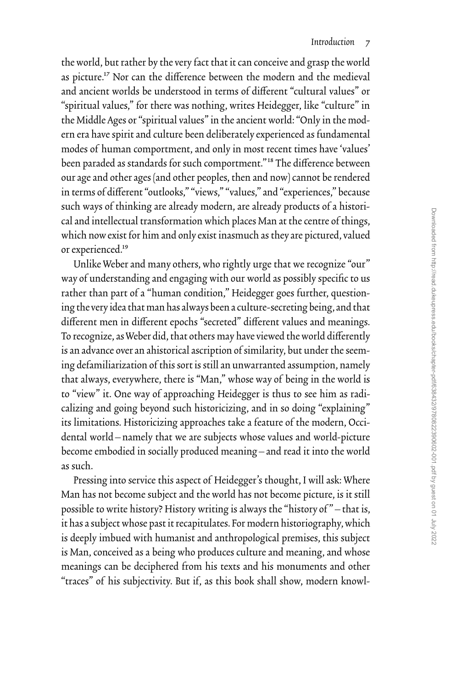the world, but rather by the very fact that it can conceive and grasp the world as picture.<sup>17</sup> Nor can the difference between the modern and the medieval and ancient worlds be understood in terms of different ''cultural values'' or ''spiritual values,'' for there was nothing, writes Heidegger, like ''culture'' in the Middle Ages or "spiritual values" in the ancient world: "Only in the modern era have spirit and culture been deliberately experienced as fundamental modes of human comportment, and only in most recent times have 'values' been paraded as standards for such comportment.''<sup>18</sup> The difference between our age and other ages (and other peoples, then and now) cannot be rendered in terms of different "outlooks," "views," "values," and "experiences," because such ways of thinking are already modern, are already products of a historical and intellectual transformation which places Man at the centre of things, which now exist for him and only exist inasmuch as they are pictured, valued or experienced.<sup>19</sup>

Unlike Weber and many others, who rightly urge that we recognize ''our'' way of understanding and engaging with our world as possibly specific to us rather than part of a ''human condition,'' Heidegger goes further, questioning the very idea that man has always been a culture-secreting being, and that different men in different epochs ''secreted'' different values and meanings. To recognize, asWeber did, that others may have viewed the world differently is an advance over an ahistorical ascription of similarity, but under the seeming defamiliarization of this sort is still an unwarranted assumption, namely that always, everywhere, there is ''Man,'' whose way of being in the world is to ''view'' it. One way of approaching Heidegger is thus to see him as radicalizing and going beyond such historicizing, and in so doing ''explaining'' its limitations. Historicizing approaches take a feature of the modern, Occidental world—namely that we are subjects whose values and world-picture become embodied in socially produced meaning—and read it into the world as such.

Pressing into service this aspect of Heidegger's thought, I will ask: Where Man has not become subject and the world has not become picture, is it still possible to write history? History writing isalways the ''history of ''—that is, it has a subject whose past it recapitulates. For modern historiography, which is deeply imbued with humanist and anthropological premises, this subject is Man, conceived as a being who produces culture and meaning, and whose meanings can be deciphered from his texts and his monuments and other "traces" of his subjectivity. But if, as this book shall show, modern knowl-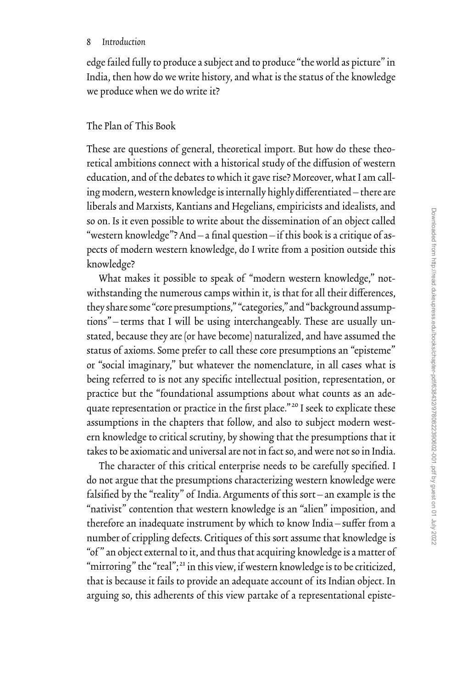edge failed fully to produce a subject and to produce "the world as picture" in India, then how do we write history, and what is the status of the knowledge we produce when we do write it?

# The Plan of This Book

These are questions of general, theoretical import. But how do these theoretical ambitions connect with a historical study of the diffusion of western education, and of the debates to which it gave rise? Moreover, what I am calling modern,western knowledge is internally highlydifferentiated—there are liberals and Marxists, Kantians and Hegelians, empiricists and idealists, and so on. Is it even possible to write about the dissemination of an object called ''western knowledge''? And—a final question—if this book is a critique of aspects of modern western knowledge, do I write from a position outside this knowledge?

What makes it possible to speak of "modern western knowledge," notwithstanding the numerous camps within it, is that for all their differences, they share some "core presumptions," "categories," and "background assumptions''—terms that I will be using interchangeably. These are usually unstated, because they are (or have become) naturalized, and have assumed the status of axioms. Some prefer to call these core presumptions an ''episteme'' or ''social imaginary,'' but whatever the nomenclature, in all cases what is being referred to is not any specific intellectual position, representation, or practice but the ''foundational assumptions about what counts as an adequate representation or practice in the first place."<sup>20</sup> I seek to explicate these assumptions in the chapters that follow, and also to subject modern western knowledge to critical scrutiny, by showing that the presumptions that it takes to be axiomatic and universal are not in fact so, and were not so in India.

The character of this critical enterprise needs to be carefully specified. I do not argue that the presumptions characterizing western knowledge were falsified by the "reality" of India. Arguments of this sort-an example is the "nativist" contention that western knowledge is an "alien" imposition, and therefore an inadequate instrument by which to know India—suffer from a number of crippling defects. Critiques of this sort assume that knowledge is "of" an object external to it, and thus that acquiring knowledge is a matter of "mirroring" the "real";<sup>21</sup> in this view, if western knowledge is to be criticized, that is because it fails to provide an adequate account of its Indian object. In arguing so, this adherents of this view partake of a representational episte-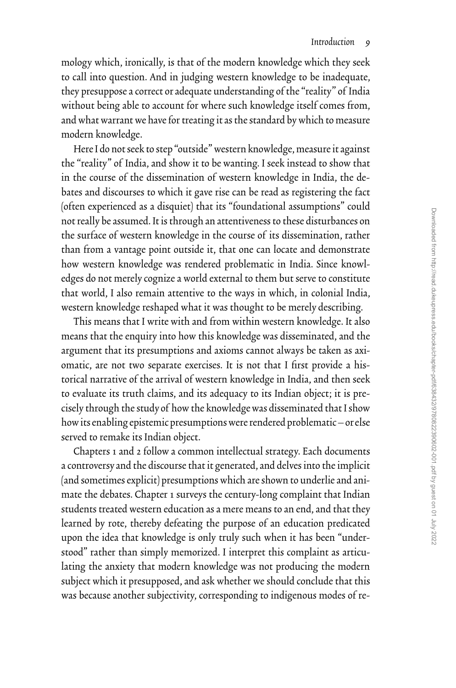mology which, ironically, is that of the modern knowledge which they seek to call into question. And in judging western knowledge to be inadequate, they presuppose a correct or adequate understanding of the ''reality'' of India without being able to account for where such knowledge itself comes from, and what warrant we have for treating it as the standard by which to measure modern knowledge.

Here I do not seek to step "outside" western knowledge, measure it against the "reality" of India, and show it to be wanting. I seek instead to show that in the course of the dissemination of western knowledge in India, the debates and discourses to which it gave rise can be read as registering the fact (often experienced as a disquiet) that its ''foundational assumptions'' could not really be assumed. It is through an attentiveness to these disturbances on the surface of western knowledge in the course of its dissemination, rather than from a vantage point outside it, that one can locate and demonstrate how western knowledge was rendered problematic in India. Since knowledges do not merely cognize a world external to them but serve to constitute that world, I also remain attentive to the ways in which, in colonial India, western knowledge reshaped what it was thought to be merely describing.

This means that I write with and from within western knowledge. It also means that the enquiry into how this knowledge was disseminated, and the argument that its presumptions and axioms cannot always be taken as axiomatic, are not two separate exercises. It is not that I first provide a historical narrative of the arrival of western knowledge in India, and then seek to evaluate its truth claims, and its adequacy to its Indian object; it is precisely through the study of how the knowledge was disseminated that I show how its enabling epistemic presumptions were rendered problematic—or else served to remake its Indian object.

Chapters 1 and 2 follow a common intellectual strategy. Each documents a controversy and the discourse that it generated, and delves into the implicit (and sometimes explicit) presumptions which are shown to underlie and animate the debates. Chapter 1 surveys the century-long complaint that Indian students treated western education as a mere means to an end, and that they learned by rote, thereby defeating the purpose of an education predicated upon the idea that knowledge is only truly such when it has been ''understood'' rather than simply memorized. I interpret this complaint as articulating the anxiety that modern knowledge was not producing the modern subject which it presupposed, and ask whether we should conclude that this was because another subjectivity, corresponding to indigenous modes of re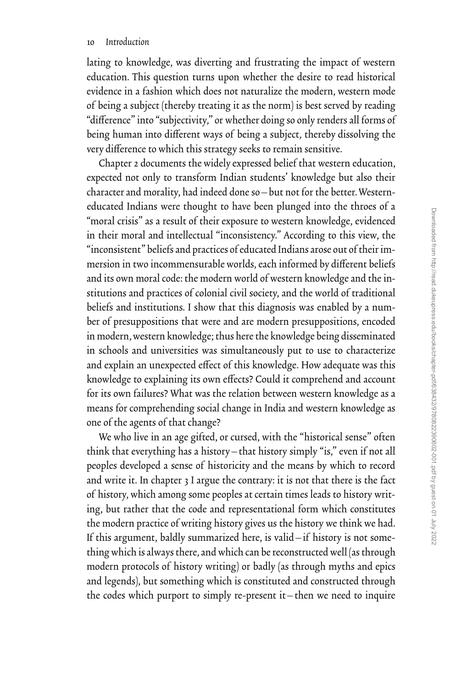lating to knowledge, was diverting and frustrating the impact of western education. This question turns upon whether the desire to read historical evidence in a fashion which does not naturalize the modern, western mode of being a subject (thereby treating it as the norm) is best served by reading "difference" into "subjectivity," or whether doing so only renders all forms of being human into different ways of being a subject, thereby dissolving the very difference to which this strategy seeks to remain sensitive.

Chapter 2 documents the widely expressed belief that western education, expected not only to transform Indian students' knowledge but also their character and morality, had indeed done so—but not for the better. Westerneducated Indians were thought to have been plunged into the throes of a "moral crisis" as a result of their exposure to western knowledge, evidenced in their moral and intellectual ''inconsistency.'' According to this view, the "inconsistent" beliefs and practices of educated Indians arose out of their immersion in two incommensurable worlds, each informed by different beliefs and its own moral code: the modern world of western knowledge and the institutions and practices of colonial civil society, and the world of traditional beliefs and institutions. I show that this diagnosis was enabled by a number of presuppositions that were and are modern presuppositions, encoded in modern, western knowledge; thus here the knowledge being disseminated in schools and universities was simultaneously put to use to characterize and explain an unexpected effect of this knowledge. How adequate was this knowledge to explaining its own effects? Could it comprehend and account for its own failures? What was the relation between western knowledge as a means for comprehending social change in India and western knowledge as one of the agents of that change?

We who live in an age gifted, or cursed, with the "historical sense" often think that everything has a history—that history simply ''is,'' even if not all peoples developed a sense of historicity and the means by which to record and write it. In chapter 3 I argue the contrary: it is not that there is the fact of history, which among some peoples at certain times leads to history writing, but rather that the code and representational form which constitutes the modern practice of writing history gives us the history we think we had. If this argument, baldly summarized here, is valid—if history is not something which is always there, and which can be reconstructed well (as through modern protocols of history writing) or badly (as through myths and epics and legends), but something which is constituted and constructed through the codes which purport to simply re-present it—then we need to inquire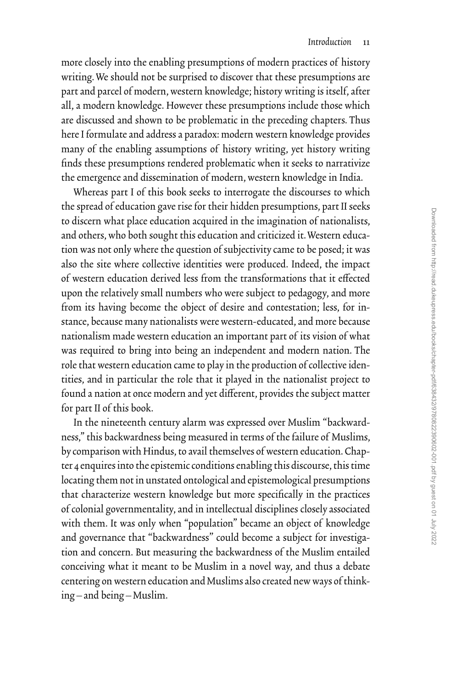more closely into the enabling presumptions of modern practices of history writing. We should not be surprised to discover that these presumptions are part and parcel of modern, western knowledge; history writing is itself, after all, a modern knowledge. However these presumptions include those which are discussed and shown to be problematic in the preceding chapters. Thus here I formulate and address a paradox: modern western knowledge provides many of the enabling assumptions of history writing, yet history writing finds these presumptions rendered problematic when it seeks to narrativize the emergence and dissemination of modern, western knowledge in India.

Whereas part I of this book seeks to interrogate the discourses to which the spread of education gave rise for their hidden presumptions, part II seeks to discern what place education acquired in the imagination of nationalists, and others, who both sought this education and criticized it.Western education was not only where the question of subjectivity came to be posed; it was also the site where collective identities were produced. Indeed, the impact of western education derived less from the transformations that it effected upon the relatively small numbers who were subject to pedagogy, and more from its having become the object of desire and contestation; less, for instance, because many nationalists were western-educated, and more because nationalism made western education an important part of its vision of what was required to bring into being an independent and modern nation. The role that western education came to play in the production of collective identities, and in particular the role that it played in the nationalist project to found a nation at once modern and yet different, provides the subject matter for part II of this book.

In the nineteenth century alarm was expressed over Muslim ''backwardness,'' this backwardness being measured in terms of the failure of Muslims, by comparison with Hindus, to avail themselves of western education. Chapter 4 enquires into the epistemic conditions enabling this discourse, this time locating them not in unstated ontological and epistemological presumptions that characterize western knowledge but more specifically in the practices of colonial governmentality, and in intellectual disciplines closely associated with them. It was only when "population" became an object of knowledge and governance that ''backwardness'' could become a subject for investigation and concern. But measuring the backwardness of the Muslim entailed conceiving what it meant to be Muslim in a novel way, and thus a debate centering on western education and Muslims also created new ways of thinking—and being—Muslim.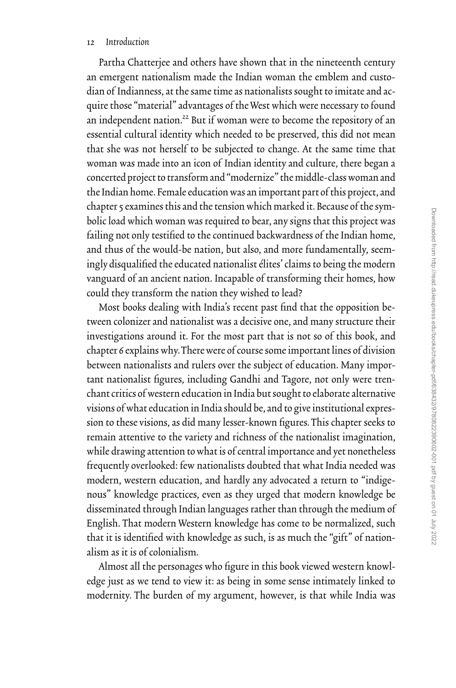Partha Chatterjee and others have shown that in the nineteenth century an emergent nationalism made the Indian woman the emblem and custodian of Indianness, at the same time as nationalists sought to imitate and acquire those ''material'' advantages of the West which were necessary to found an independent nation.<sup>22</sup> But if woman were to become the repository of an essential cultural identity which needed to be preserved, this did not mean that she was not herself to be subjected to change. At the same time that woman was made into an icon of Indian identity and culture, there began a concerted project to transform and "modernize" the middle-class woman and the Indian home. Female education was an important part of this project, and chapter 5 examines this and the tension which marked it. Because of the symbolic load which woman was required to bear, any signs that this project was failing not only testified to the continued backwardness of the Indian home, and thus of the would-be nation, but also, and more fundamentally, seemingly disqualified the educated nationalist élites' claims to being the modern vanguard of an ancient nation. Incapable of transforming their homes, how could they transform the nation they wished to lead?

Most books dealing with India's recent past find that the opposition between colonizer and nationalist was a decisive one, and many structure their investigations around it. For the most part that is not so of this book, and chapter 6 explains why.Therewere of course some important lines of division between nationalists and rulers over the subject of education. Many important nationalist figures, including Gandhi and Tagore, not only were trenchant critics of western education in India but sought to elaborate alternative visions of what education in India should be, and to give institutional expression to these visions, as did many lesser-known figures. This chapter seeks to remain attentive to the variety and richness of the nationalist imagination, while drawing attention to what is of central importance and yet nonetheless frequently overlooked: few nationalists doubted that what India needed was modern, western education, and hardly any advocated a return to ''indigenous'' knowledge practices, even as they urged that modern knowledge be disseminated through Indian languages rather than through the medium of English. That modern Western knowledge has come to be normalized, such that it is identified with knowledge as such, is as much the "gift" of nationalism as it is of colonialism.

Almost all the personages who figure in this book viewed western knowledge just as we tend to view it: as being in some sense intimately linked to modernity. The burden of my argument, however, is that while India was